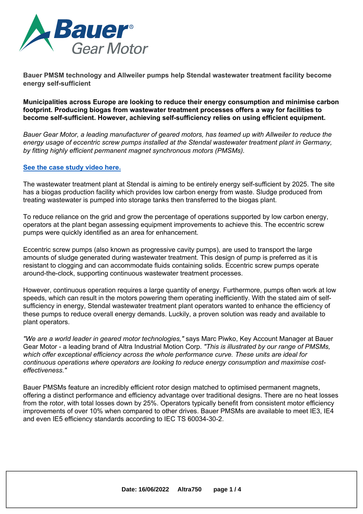

**Bauer PMSM technology and Allweiler pumps help Stendal wastewater treatment facility become energy self-sufficient**

**Municipalities across Europe are looking to reduce their energy consumption and minimise carbon footprint. Producing biogas from wastewater treatment processes offers <sup>a</sup> way for facilities to become self-sufficient. However, achieving self-sufficiency relies on using efficient equipment.**

*Bauer Gear Motor, <sup>a</sup> leading manufacturer of geared motors, has teamed up with Allweiler to reduce the energy usage of eccentric screw pumps installed at the Stendal wastewater treatment plant in Germany, by fitting highly efficient permanent magnet synchronous motors (PMSMs).*

### **See the case [study](https://www.youtube.com/watch?v=qBW-wbCEpWo) video here.**

The wastewater treatment plant at Stendal is aiming to be entirely energy self-sufficient by 2025. The site has <sup>a</sup> biogas production facility which provides low carbon energy from waste. Sludge produced from treating wastewater is pumped into storage tanks then transferred to the biogas plant.

To reduce reliance on the grid and grow the percentage of operations supported by low carbon energy, operators at the plant began assessing equipment improvements to achieve this. The eccentric screw pumps were quickly identified as an area for enhancement.

Eccentric screw pumps (also known as progressive cavity pumps), are used to transport the large amounts of sludge generated during wastewater treatment. This design of pump is preferred as it is resistant to clogging and can accommodate fluids containing solids. Eccentric screw pumps operate around-the-clock, supporting continuous wastewater treatment processes.

However, continuous operation requires <sup>a</sup> large quantity of energy. Furthermore, pumps often work at low speeds, which can result in the motors powering them operating inefficiently. With the stated aim of selfsufficiency in energy, Stendal wastewater treatment plant operators wanted to enhance the efficiency of these pumps to reduce overall energy demands. Luckily, <sup>a</sup> proven solution was ready and available to plant operators.

*"We are <sup>a</sup> world leader in geared motor technologies,"* says Marc Piwko, Key Account Manager at Bauer Gear Motor - <sup>a</sup> leading brand of Altra Industrial Motion Corp. *"This is illustrated by our range of PMSMs, which offer exceptional efficiency across the whole performance curve. These units are ideal for continuous operations where operators are looking to reduce energy consumption and maximise costeffectiveness."*

Bauer PMSMs feature an incredibly efficient rotor design matched to optimised permanent magnets, offering <sup>a</sup> distinct performance and efficiency advantage over traditional designs. There are no heat losses from the rotor, with total losses down by 25%. Operators typically benefit from consistent motor efficiency improvements of over 10% when compared to other drives. Bauer PMSMs are available to meet IE3, IE4 and even IE5 efficiency standards according to IEC TS 60034-30-2.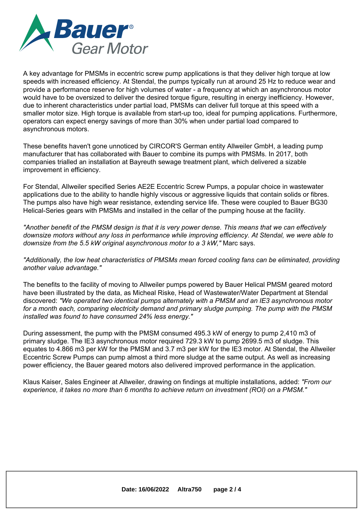

A key advantage for PMSMs in eccentric screw pump applications is that they deliver high torque at low speeds with increased efficiency. At Stendal, the pumps typically run at around 25 Hz to reduce wear and provide <sup>a</sup> performance reserve for high volumes of water - <sup>a</sup> frequency at which an asynchronous motor would have to be oversized to deliver the desired torque figure, resulting in energy inefficiency. However, due to inherent characteristics under partial load, PMSMs can deliver full torque at this speed with <sup>a</sup> smaller motor size. High torque is available from start-up too, ideal for pumping applications. Furthermore, operators can expect energy savings of more than 30% when under partial load compared to asynchronous motors.

These benefits haven't gone unnoticed by CIRCOR'S German entity Allweiler GmbH, <sup>a</sup> leading pump manufacturer that has collaborated with Bauer to combine its pumps with PMSMs. In 2017, both companies trialled an installation at Bayreuth sewage treatment plant, which delivered <sup>a</sup> sizable improvement in efficiency.

For Stendal, Allweiler specified Series AE2E Eccentric Screw Pumps, <sup>a</sup> popular choice in wastewater applications due to the ability to handle highly viscous or aggressive liquids that contain solids or fibres. The pumps also have high wear resistance, extending service life. These were coupled to Bauer BG30 Helical-Series gears with PMSMs and installed in the cellar of the pumping house at the facility.

"Another benefit of the PMSM design is that it is very power dense. This means that we can effectively *downsize motors without any loss in performance while improving efficiency. At Stendal, we were able to downsize from the 5.5 kW original asynchronous motor to <sup>a</sup> 3 kW,"* Marc says.

*"Additionally, the low heat characteristics of PMSMs mean forced cooling fans can be eliminated, providing another value advantage."*

The benefits to the facility of moving to Allweiler pumps powered by Bauer Helical PMSM geared motord have been illustrated by the data, as Micheal Riske, Head of Wastewater/Water Department at Stendal discovered: *"We operated two identical pumps alternately with <sup>a</sup> PMSM and an IE3 asynchronous motor for <sup>a</sup> month each, comparing electricity demand and primary sludge pumping. The pump with the PMSM installed was found to have consumed 24% less energy."*

During assessment, the pump with the PMSM consumed 495.3 kW of energy to pump 2,410 m3 of primary sludge. The IE3 asynchronous motor required 729.3 kW to pump 2699.5 m3 of sludge. This equates to 4.866 m3 per kW for the PMSM and 3.7 m3 per kW for the IE3 motor. At Stendal, the Allweiler Eccentric Screw Pumps can pump almost <sup>a</sup> third more sludge at the same output. As well as increasing power efficiency, the Bauer geared motors also delivered improved performance in the application.

Klaus Kaiser, Sales Engineer at Allweiler, drawing on findings at multiple installations, added: *"From our experience, it takes no more than 6 months to achieve return on investment (ROI) on <sup>a</sup> PMSM."*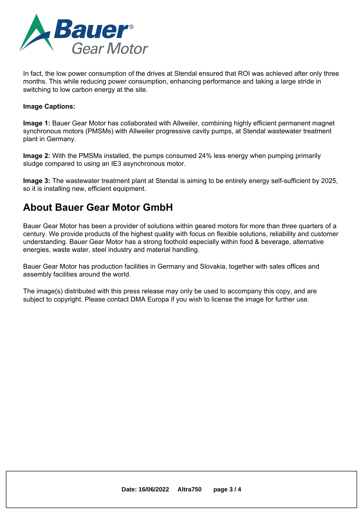

In fact, the low power consumption of the drives at Stendal ensured that ROI was achieved after only three months. This while reducing power consumption, enhancing performance and taking <sup>a</sup> large stride in switching to low carbon energy at the site.

### **Image Captions:**

**Image 1:** Bauer Gear Motor has collaborated with Allweiler, combining highly efficient permanent magnet synchronous motors (PMSMs) with Allweiler progressive cavity pumps, at Stendal wastewater treatment plant in Germany.

**Image 2:** With the PMSMs installed, the pumps consumed 24% less energy when pumping primarily sludge compared to using an IE3 asynchronous motor.

**Image 3:** The wastewater treatment plant at Stendal is aiming to be entirely energy self-sufficient by 2025, so it is installing new, efficient equipment.

### **About Bauer Gear Motor GmbH**

Bauer Gear Motor has been <sup>a</sup> provider of solutions within geared motors for more than three quarters of <sup>a</sup> century. We provide products of the highest quality with focus on flexible solutions, reliability and customer understanding. Bauer Gear Motor has <sup>a</sup> strong foothold especially within food & beverage, alternative energies, waste water, steel industry and material handling.

Bauer Gear Motor has production facilities in Germany and Slovakia, together with sales offices and assembly facilities around the world.

The image(s) distributed with this press release may only be used to accompany this copy, and are subject to copyright. Please contact DMA Europa if you wish to license the image for further use.